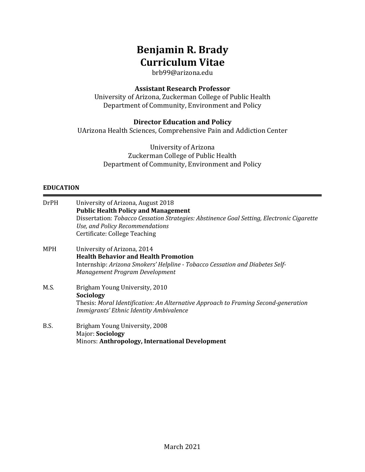# **Benjamin R. Brady Curriculum Vitae**

brb99@arizona.edu

## **Assistant Research Professor**

University of Arizona, Zuckerman College of Public Health Department of Community, Environment and Policy

# **Director Education and Policy**

UArizona Health Sciences, Comprehensive Pain and Addiction Center

University of Arizona Zuckerman College of Public Health Department of Community, Environment and Policy

## **EDUCATION**

| <b>DrPH</b> | University of Arizona, August 2018<br><b>Public Health Policy and Management</b><br>Dissertation: Tobacco Cessation Strategies: Abstinence Goal Setting, Electronic Cigarette<br>Use, and Policy Recommendations<br>Certificate: College Teaching |
|-------------|---------------------------------------------------------------------------------------------------------------------------------------------------------------------------------------------------------------------------------------------------|
| MPH         | University of Arizona, 2014<br><b>Health Behavior and Health Promotion</b><br>Internship: Arizona Smokers' Helpline - Tobacco Cessation and Diabetes Self-<br>Management Program Development                                                      |
| M.S.        | Brigham Young University, 2010<br>Sociology<br>Thesis: Moral Identification: An Alternative Approach to Framing Second-generation<br>Immigrants' Ethnic Identity Ambivalence                                                                      |
| B.S.        | Brigham Young University, 2008<br>Major: Sociology<br>Minors: Anthropology, International Development                                                                                                                                             |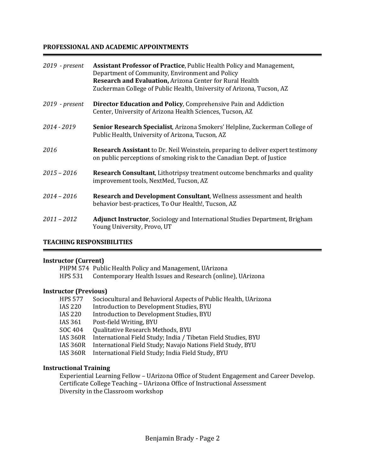#### **PROFESSIONAL AND ACADEMIC APPOINTMENTS**

| $2019$ - present | Assistant Professor of Practice, Public Health Policy and Management,<br>Department of Community, Environment and Policy<br>Research and Evaluation, Arizona Center for Rural Health |
|------------------|--------------------------------------------------------------------------------------------------------------------------------------------------------------------------------------|
|                  | Zuckerman College of Public Health, University of Arizona, Tucson, AZ                                                                                                                |
| $2019$ - present | Director Education and Policy, Comprehensive Pain and Addiction<br>Center, University of Arizona Health Sciences, Tucson, AZ                                                         |
| 2014 - 2019      | Senior Research Specialist, Arizona Smokers' Helpline, Zuckerman College of<br>Public Health, University of Arizona, Tucson, AZ                                                      |
| 2016             | <b>Research Assistant</b> to Dr. Neil Weinstein, preparing to deliver expert testimony<br>on public perceptions of smoking risk to the Canadian Dept. of Justice                     |
| $2015 - 2016$    | <b>Research Consultant, Lithotripsy treatment outcome benchmarks and quality</b><br>improvement tools, NextMed, Tucson, AZ                                                           |
| $2014 - 2016$    | <b>Research and Development Consultant, Wellness assessment and health</b><br>behavior best-practices, To Our Health!, Tucson, AZ                                                    |
| $2011 - 2012$    | <b>Adjunct Instructor, Sociology and International Studies Department, Brigham</b><br>Young University, Provo, UT                                                                    |

#### **TEACHING RESPONSIBILITIES**

#### **Instructor (Current)**

PHPM 574 Public Health Policy and Management, UArizona

HPS 531 Contemporary Health Issues and Research (online), UArizona

#### **Instructor (Previous)**

| <b>HPS 577</b>  | Sociocultural and Behavioral Aspects of Public Health, UArizona |
|-----------------|-----------------------------------------------------------------|
| IAS 220         | Introduction to Development Studies, BYU                        |
| IAS 220         | Introduction to Development Studies, BYU                        |
| IAS 361         | Post-field Writing, BYU                                         |
| SOC 404         | Qualitative Research Methods, BYU                               |
| <b>IAS 360R</b> | International Field Study; India / Tibetan Field Studies, BYU   |
| <b>IAS 360R</b> | International Field Study; Navajo Nations Field Study, BYU      |
| IAS 360R        | International Field Study; India Field Study, BYU               |
|                 |                                                                 |

#### **Instructional Training**

Experiential Learning Fellow - UArizona Office of Student Engagement and Career Develop. Certificate College Teaching - UArizona Office of Instructional Assessment Diversity in the Classroom workshop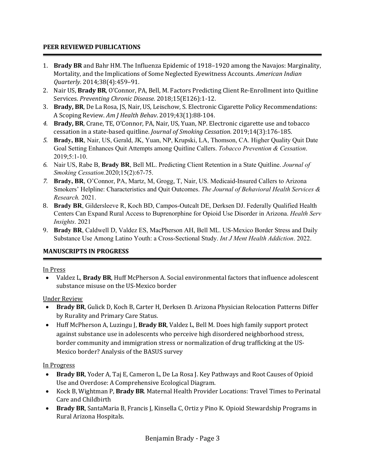## **PEER REVIEWED PUBLICATIONS**

- 1. **Brady BR** and Bahr HM. The Influenza Epidemic of 1918–1920 among the Navajos: Marginality, Mortality, and the Implications of Some Neglected Eyewitness Accounts. *American Indian Quarterly.* 2014;38(4):459–91.
- 2. Nair US, Brady BR, O'Connor, PA, Bell, M. Factors Predicting Client Re-Enrollment into Quitline Services. Preventing Chronic Disease. 2018;15(E126):1-12.
- 3. Brady, BR, De La Rosa, JS, Nair, US, Leischow, S. Electronic Cigarette Policy Recommendations: A Scoping Review. *Am J Health Behav*. 2019;43(1):88-104.
- 4. Brady, BR, Crane, TE, O'Connor, PA, Nair, US, Yuan, NP. Electronic cigarette use and tobacco cessation in a state-based quitline. *Journal of Smoking Cessation.* 2019;14(3):176-185.
- *5.* **Brady, BR**, Nair, US, Gerald, JK, Yuan, NP, Krupski, LA, Thomson, CA. Higher Quality Quit Date Goal Setting Enhances Quit Attempts among Quitline Callers. *Tobacco Prevention & Cessation*. 2019;5:1-10.
- *6.* Nair US, Rabe B, **Brady BR**, Bell ML. Predicting Client Retention in a State Quitline. *Journal of Smoking Cessation.*2020;15(2):67-75.
- *7.* **Brady, BR**, O'Connor, PA, Martz, M, Grogg, T, Nair, US. Medicaid-Insured Callers to Arizona Smokers' Helpline: Characteristics and Quit Outcomes. *The Journal of Behavioral Health Services & Research.* 2021.
- 8. **Brady BR**, Gildersleeve R, Koch BD, Campos-Outcalt DE, Derksen DJ. Federally Qualified Health Centers Can Expand Rural Access to Buprenorphine for Opioid Use Disorder in Arizona. *Health Serv Insights*. 2021
- 9. **Brady BR**, Caldwell D, Valdez ES, MacPherson AH, Bell ML. US-Mexico Border Stress and Daily Substance Use Among Latino Youth: a Cross-Sectional Study. *Int J Ment Health Addiction*. 2022.

## **MANUSCRIPTS IN PROGRESS**

#### In Press

• Valdez L, **Brady BR**, Huff McPherson A. Social environmental factors that influence adolescent substance misuse on the US-Mexico border

Under Review

- Brady BR, Gulick D, Koch B, Carter H, Derksen D. Arizona Physician Relocation Patterns Differ by Rurality and Primary Care Status.
- Huff McPherson A, Luzingu J, **Brady BR**, Valdez L, Bell M. Does high family support protect against substance use in adolescents who perceive high disordered neighborhood stress, border community and immigration stress or normalization of drug trafficking at the US-Mexico border? Analysis of the BASUS survey

In Progress

- Brady BR, Yoder A, Taj E, Cameron L, De La Rosa J. Key Pathways and Root Causes of Opioid Use and Overdose: A Comprehensive Ecological Diagram.
- Kock B, Wightman P, **Brady BR**. Maternal Health Provider Locations: Travel Times to Perinatal Care and Childbirth
- Brady BR, SantaMaria B, Francis J, Kinsella C, Ortiz y Pino K. Opioid Stewardship Programs in Rural Arizona Hospitals.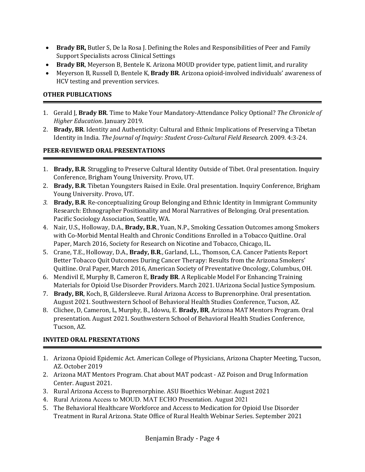- **Brady BR,** Butler S, De la Rosa J. Defining the Roles and Responsibilities of Peer and Family Support Specialists across Clinical Settings
- Brady BR, Meyerson B, Bentele K. Arizona MOUD provider type, patient limit, and rurality
- Meyerson B, Russell D, Bentele K, **Brady BR**. Arizona opioid-involved individuals' awareness of HCV testing and prevention services.

## **OTHER PUBLICATIONS**

- 1. Gerald J, **Brady BR**. Time to Make Your Mandatory-Attendance Policy Optional? *The Chronicle of Higher Education*. January 2019.
- 2. **Brady, BR.** Identity and Authenticity: Cultural and Ethnic Implications of Preserving a Tibetan Identity in India. The Journal of Inquiry: Student Cross-Cultural Field Research. 2009. 4:3-24.

## **PEER-REVIEWED ORAL PRESENTATIONS**

- 1. **Brady, B.R.** Struggling to Preserve Cultural Identity Outside of Tibet. Oral presentation. Inquiry Conference, Brigham Young University. Provo, UT.
- 2. Brady, B.R. Tibetan Youngsters Raised in Exile. Oral presentation. Inquiry Conference, Brigham Young University. Provo, UT.
- 3. **Brady, B.R.** Re-conceptualizing Group Belonging and Ethnic Identity in Immigrant Community Research: Ethnographer Positionality and Moral Narratives of Belonging. Oral presentation. Pacific Sociology Association, Seattle, WA.
- 4. Nair, U.S., Holloway, D.A., **Brady, B.R.**, Yuan, N.P., Smoking Cessation Outcomes among Smokers with Co-Morbid Mental Health and Chronic Conditions Enrolled in a Tobacco Quitline. Oral Paper, March 2016, Society for Research on Nicotine and Tobacco, Chicago, IL.
- 5. Crane, T.E., Holloway, D.A., Brady, B.R., Garland, L.L., Thomson, C.A. Cancer Patients Report Better Tobacco Quit Outcomes During Cancer Therapy: Results from the Arizona Smokers' Quitline. Oral Paper, March 2016, American Society of Preventative Oncology, Columbus, OH.
- 6. Mendivil E, Murphy B, Cameron E, **Brady BR**. A Replicable Model For Enhancing Training Materials for Opioid Use Disorder Providers. March 2021. UArizona Social Justice Symposium.
- 7. Brady, BR, Koch, B, Gildersleeve. Rural Arizona Access to Buprenorphine. Oral presentation. August 2021. Southwestern School of Behavioral Health Studies Conference, Tucson, AZ.
- 8. Clichee, D. Cameron, L. Murphy, B., Idowu, E. **Brady, BR**, Arizona MAT Mentors Program. Oral presentation. August 2021. Southwestern School of Behavioral Health Studies Conference, Tucson, AZ.

# **INVITED ORAL PRESENTATIONS**

- 1. Arizona Opioid Epidemic Act. American College of Physicians, Arizona Chapter Meeting, Tucson, AZ. October 2019
- 2. Arizona MAT Mentors Program. Chat about MAT podcast AZ Poison and Drug Information Center. August 2021.
- 3. Rural Arizona Access to Buprenorphine. ASU Bioethics Webinar. August 2021
- 4. Rural Arizona Access to MOUD. MAT ECHO Presentation. August 2021
- 5. The Behavioral Healthcare Workforce and Access to Medication for Opioid Use Disorder Treatment in Rural Arizona. State Office of Rural Health Webinar Series. September 2021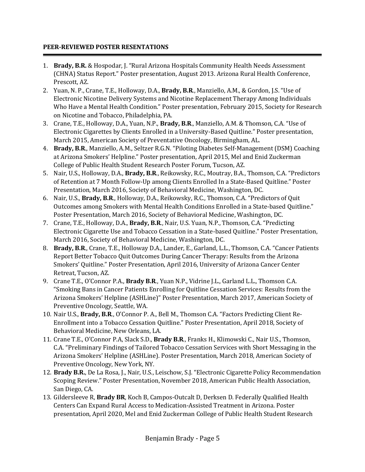## **PEER-REVIEWED POSTER RESENTATIONS**

- 1. **Brady, B.R.** & Hospodar, J. "Rural Arizona Hospitals Community Health Needs Assessment (CHNA) Status Report." Poster presentation, August 2013. Arizona Rural Health Conference, Prescott, AZ.
- 2. Yuan, N. P., Crane, T.E., Holloway, D.A., **Brady, B.R.**, Manziello, A.M., & Gordon, J.S. "Use of Electronic Nicotine Delivery Systems and Nicotine Replacement Therapy Among Individuals Who Have a Mental Health Condition." Poster presentation, February 2015, Society for Research on Nicotine and Tobacco, Philadelphia, PA.
- 3. Crane, T.E., Holloway, D.A., Yuan, N.P., **Brady, B.R.**, Manziello, A.M. & Thomson, C.A. "Use of Electronic Cigarettes by Clients Enrolled in a University-Based Quitline." Poster presentation, March 2015, American Society of Preventative Oncology, Birmingham, AL.
- 4. **Brady, B.R.**, Manziello, A.M., Seltzer R.G.N. "Piloting Diabetes Self-Management (DSM) Coaching at Arizona Smokers' Helpline." Poster presentation, April 2015, Mel and Enid Zuckerman College of Public Health Student Research Poster Forum, Tucson, AZ.
- 5. Nair, U.S., Holloway, D.A., Brady, B.R., Reikowsky, R.C., Moutray, B.A., Thomson, C.A. "Predictors of Retention at 7 Month Follow-Up among Clients Enrolled In a State-Based Quitline." Poster Presentation, March 2016, Society of Behavioral Medicine, Washington, DC.
- 6. Nair, U.S., **Brady, B.R.**, Holloway, D.A., Reikowsky, R.C., Thomson, C.A. "Predictors of Quit Outcomes among Smokers with Mental Health Conditions Enrolled in a State-based Quitline." Poster Presentation, March 2016, Society of Behavioral Medicine, Washington, DC.
- 7. Crane, T.E., Holloway, D.A., **Brady, B.R.**, Nair, U.S. Yuan, N.P., Thomson, C.A. "Predicting Electronic Cigarette Use and Tobacco Cessation in a State-based Quitline." Poster Presentation, March 2016, Society of Behavioral Medicine, Washington, DC.
- 8. **Brady, B.R.**, Crane, T.E., Holloway D.A., Lander, E., Garland, L.L., Thomson, C.A. "Cancer Patients Report Better Tobacco Quit Outcomes During Cancer Therapy: Results from the Arizona Smokers' Quitline." Poster Presentation, April 2016, University of Arizona Cancer Center Retreat, Tucson, AZ.
- 9. Crane T.E., O'Connor P.A., **Brady B.R.**, Yuan N.P., Vidrine J.L., Garland L.L., Thomson C.A. "Smoking Bans in Cancer Patients Enrolling for Quitline Cessation Services: Results from the Arizona Smokers' Helpline (ASHLine)" Poster Presentation, March 2017, American Society of Preventive Oncology, Seattle, WA.
- 10. Nair U.S., Brady, B.R., O'Connor P. A., Bell M., Thomson C.A. "Factors Predicting Client Re-Enrollment into a Tobacco Cessation Quitline." Poster Presentation, April 2018, Society of Behavioral Medicine, New Orleans, LA.
- 11. Crane T.E., O'Connor P.A, Slack S.D., **Brady B.R.**, Franks H., Klimowski C., Nair U.S., Thomson, C.A. "Preliminary Findings of Tailored Tobacco Cessation Services with Short Messaging in the Arizona Smokers' Helpline (ASHLine). Poster Presentation, March 2018, American Society of Preventive Oncology, New York, NY.
- 12. **Brady B.R.**, De La Rosa, J., Nair, U.S., Leischow, S.J. "Electronic Cigarette Policy Recommendation Scoping Review." Poster Presentation, November 2018, American Public Health Association, San Diego, CA.
- 13. Gildersleeve R, **Brady BR**, Koch B, Campos-Outcalt D, Derksen D. Federally Qualified Health Centers Can Expand Rural Access to Medication-Assisted Treatment in Arizona. Poster presentation, April 2020, Mel and Enid Zuckerman College of Public Health Student Research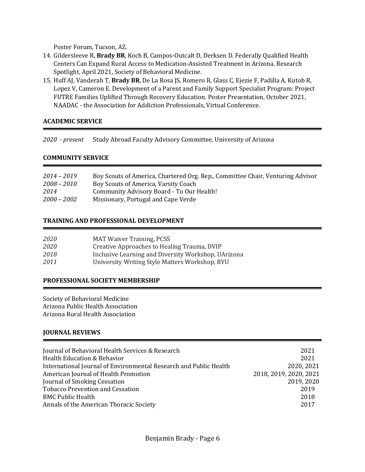Poster Forum, Tucson, AZ.

- 14. Gildersleeve R, Brady BR, Koch B, Campos-Outcalt D, Derksen D. Federally Qualified Health Centers Can Expand Rural Access to Medication-Assisted Treatment in Arizona. Research Spotlight, April 2021, Society of Behavioral Medicine.
- 15. Huff AJ, Vanderah T, Brady BR, De La Rosa JS, Romero R, Glass C, Ejezie F, Padilla A, Kutob R, Lopez V, Cameron E. Development of a Parent and Family Support Specialist Program: Project FUTRE Families Uplifted Through Recovery Education. Poster Presentation, October 2021, NAADAC - the Association for Addiction Professionals, Virtual Conference.

## **ACADEMIC SERVICE**

*2020 - present* Study Abroad Faculty Advisory Committee, University of Arizona

#### **COMMUNITY SERVICE**

| Boy Scouts of America, Chartered Org. Rep., Committee Chair, Venturing Advisor |
|--------------------------------------------------------------------------------|
|                                                                                |
|                                                                                |
|                                                                                |
|                                                                                |

## **TRAINING AND PROFESSIONAL DEVELOPMENT**

| <i>2020</i> | <b>MAT Waiver Training, PCSS</b>                    |
|-------------|-----------------------------------------------------|
| 2020        | Creative Approaches to Healing Trauma, DVIP         |
| 2018        | Inclusive Learning and Diversity Workshop, UArizona |
| 2011        | University Writing Style Matters Workshop, BYU      |
|             |                                                     |

#### **PROFESSIONAL SOCIETY MEMBERSHIP**

Society of Behavioral Medicine Arizona Public Health Association Arizona Rural Health Association

## **JOURNAL REVIEWS**

| Journal of Behavioral Health Services & Research                  | 2021                   |
|-------------------------------------------------------------------|------------------------|
| <b>Health Education &amp; Behavior</b>                            | 2021                   |
| International Journal of Environmental Research and Public Health | 2020, 2021             |
| American Journal of Health Promotion                              | 2018, 2019, 2020, 2021 |
| Journal of Smoking Cessation                                      | 2019, 2020             |
| <b>Tobacco Prevention and Cessation</b>                           | 2019                   |
| <b>BMC Public Health</b>                                          | 2018                   |
| Annals of the American Thoracic Society                           | 2017                   |
|                                                                   |                        |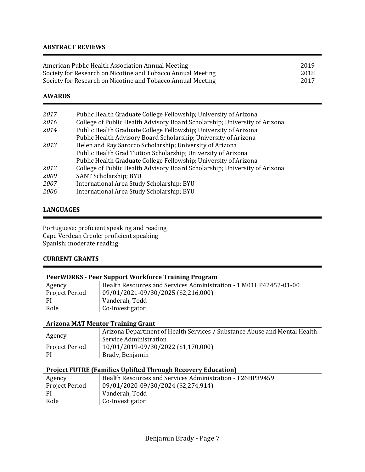#### **ABSTRACT REVIEWS**

| American Public Health Association Annual Meeting           | 2019 |
|-------------------------------------------------------------|------|
| Society for Research on Nicotine and Tobacco Annual Meeting | 2018 |
| Society for Research on Nicotine and Tobacco Annual Meeting | 2017 |

#### **AWARDS**

| 2017 | Public Health Graduate College Fellowship; University of Arizona           |
|------|----------------------------------------------------------------------------|
| 2016 | College of Public Health Advisory Board Scholarship; University of Arizona |
| 2014 | Public Health Graduate College Fellowship; University of Arizona           |
|      | Public Health Advisory Board Scholarship; University of Arizona            |
| 2013 | Helen and Ray Sarocco Scholarship; University of Arizona                   |
|      | Public Health Grad Tuition Scholarship; University of Arizona              |
|      | Public Health Graduate College Fellowship; University of Arizona           |
| 2012 | College of Public Health Advisory Board Scholarship; University of Arizona |
| 2009 | SANT Scholarship; BYU                                                      |
| 2007 | International Area Study Scholarship; BYU                                  |
| 2006 | International Area Study Scholarship; BYU                                  |
|      |                                                                            |

#### **LANGUAGES**

Portuguese: proficient speaking and reading Cape Verdean Creole: proficient speaking Spanish: moderate reading

## **CURRENT GRANTS**

#### **PeerWORKS - Peer Support Workforce Training Program**

| Agency         | Health Resources and Services Administration - 1 M01HP42452-01-00 |
|----------------|-------------------------------------------------------------------|
| Project Period | $\vert$ 09/01/2021-09/30/2025 (\$2,216,000)                       |
| - PI           | Vanderah, Todd                                                    |
| Role           | Co-Investigator                                                   |

#### **Arizona MAT Mentor Training Grant**

|                | Arizona Department of Health Services / Substance Abuse and Mental Health |
|----------------|---------------------------------------------------------------------------|
| Agency         | Service Administration                                                    |
| Project Period | $10/01/2019 - 09/30/2022$ (\$1,170,000)                                   |
| -PI            | Brady, Benjamin                                                           |

## **Project FUTRE (Families Uplifted Through Recovery Education)**

| Agency         | Health Resources and Services Administration - T26HP39459 |
|----------------|-----------------------------------------------------------|
| Project Period | $\vert$ 09/01/2020-09/30/2024 (\$2,274,914)               |
| PI             | Vanderah, Todd                                            |
| Role           | Co-Investigator                                           |